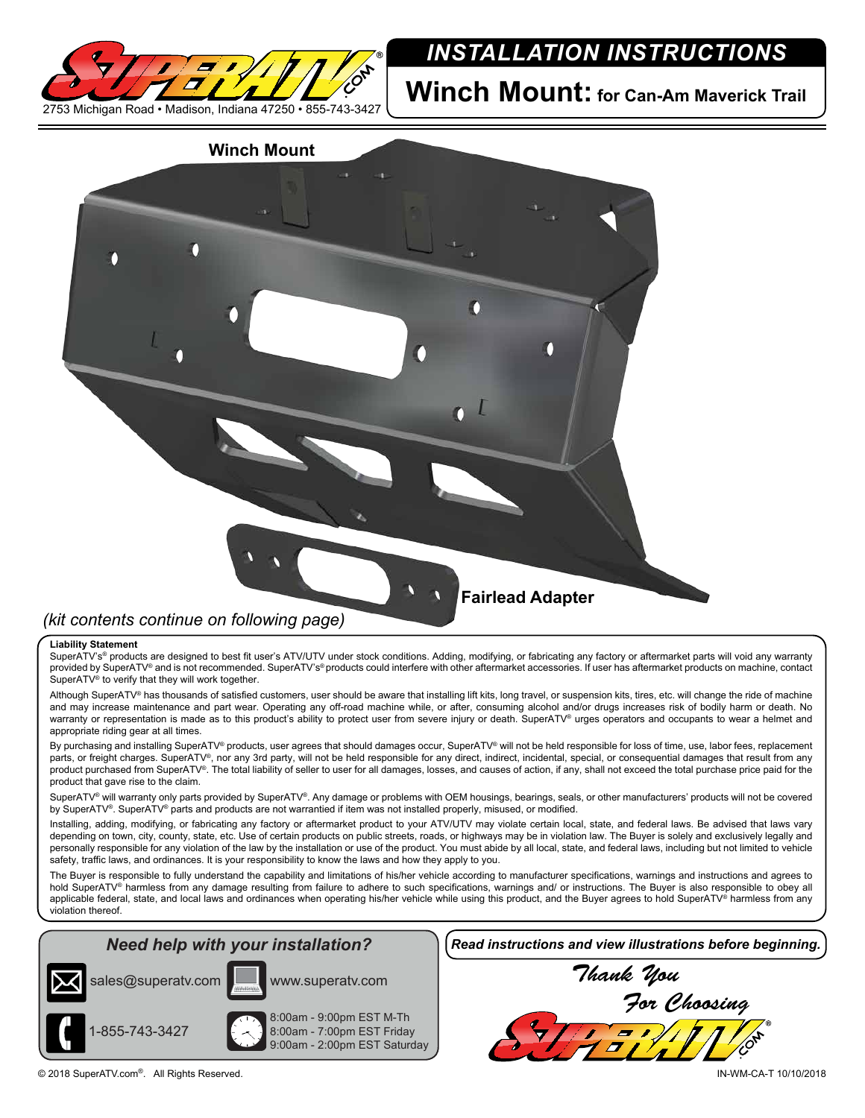

# *INSTALLATION INSTRUCTIONS*

**Winch Mount: for Can-Am Maverick Trail**

# **Winch Mount** *(kit contents continue on following page)* **Fairlead Adapter**

### **Liability Statement**

SuperATV's<sup>®</sup> products are designed to best fit user's ATV/UTV under stock conditions. Adding, modifying, or fabricating any factory or aftermarket parts will void any warranty provided by SuperATV® and is not recommended. SuperATV's® products could interfere with other aftermarket accessories. If user has aftermarket products on machine, contact SuperATV<sup>®</sup> to verify that they will work together.

Although SuperATV® has thousands of satisfied customers, user should be aware that installing lift kits, long travel, or suspension kits, tires, etc. will change the ride of machine and may increase maintenance and part wear. Operating any off-road machine while, or after, consuming alcohol and/or drugs increases risk of bodily harm or death. No warranty or representation is made as to this product's ability to protect user from severe injury or death. SuperATV® urges operators and occupants to wear a helmet and appropriate riding gear at all times.

By purchasing and installing SuperATV® products, user agrees that should damages occur, SuperATV® will not be held responsible for loss of time, use, labor fees, replacement parts, or freight charges. SuperATV<sup>®</sup>, nor any 3rd party, will not be held responsible for any direct, indirect, incidental, special, or consequential damages that result from any product purchased from SuperATV®. The total liability of seller to user for all damages, losses, and causes of action, if any, shall not exceed the total purchase price paid for the product that gave rise to the claim.

SuperATV® will warranty only parts provided by SuperATV®. Any damage or problems with OEM housings, bearings, seals, or other manufacturers' products will not be covered by SuperATV®. SuperATV® parts and products are not warrantied if item was not installed properly, misused, or modified.

Installing, adding, modifying, or fabricating any factory or aftermarket product to your ATV/UTV may violate certain local, state, and federal laws. Be advised that laws vary depending on town, city, county, state, etc. Use of certain products on public streets, roads, or highways may be in violation law. The Buyer is solely and exclusively legally and personally responsible for any violation of the law by the installation or use of the product. You must abide by all local, state, and federal laws, including but not limited to vehicle safety, traffic laws, and ordinances. It is your responsibility to know the laws and how they apply to you.

The Buyer is responsible to fully understand the capability and limitations of his/her vehicle according to manufacturer specifications, warnings and instructions and agrees to hold SuperATV<sup>®</sup> harmless from any damage resulting from failure to adhere to such specifications, warnings and/ or instructions. The Buyer is also responsible to obey all applicable federal, state, and local laws and ordinances when operating his/her vehicle while using this product, and the Buyer agrees to hold SuperATV® harmless from any violation thereof.

## *Need help with your installation?*





1-855-743-3427

8:00am - 9:00pm EST M-Th 8:00am - 7:00pm EST Friday 9:00am - 2:00pm EST Saturday *Read instructions and view illustrations before beginning.*

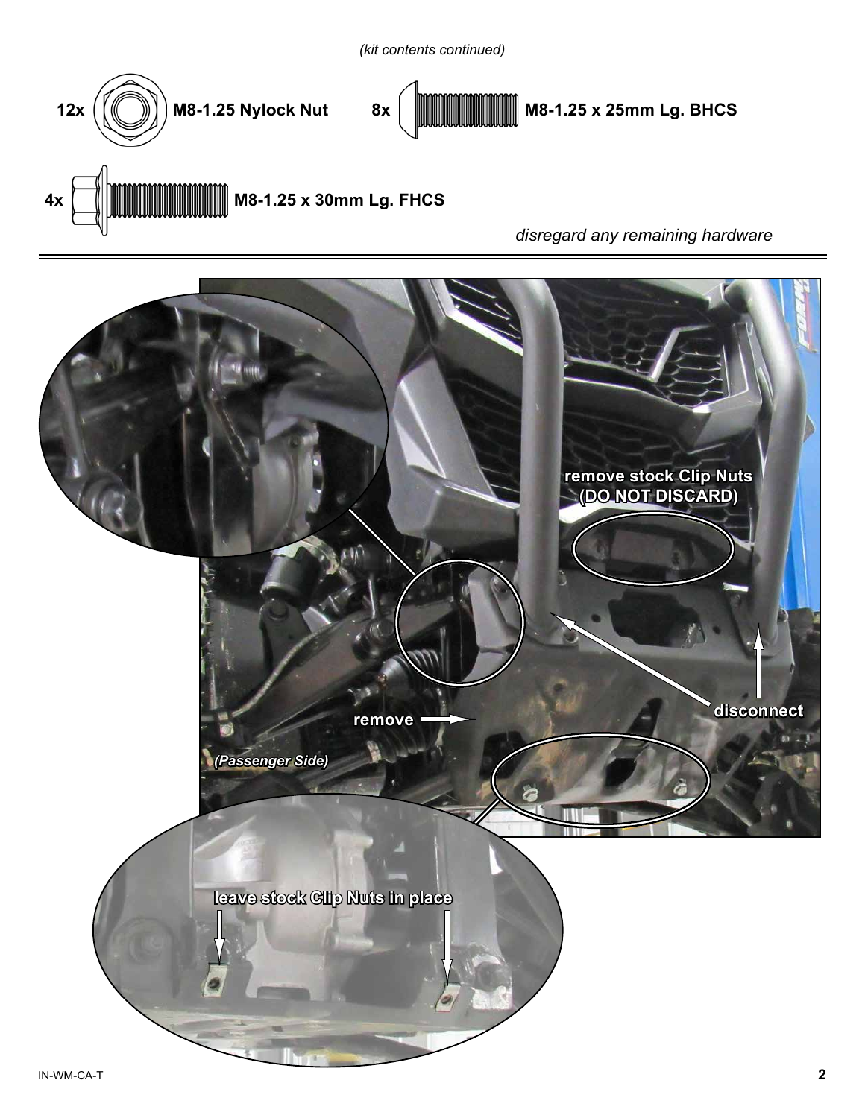



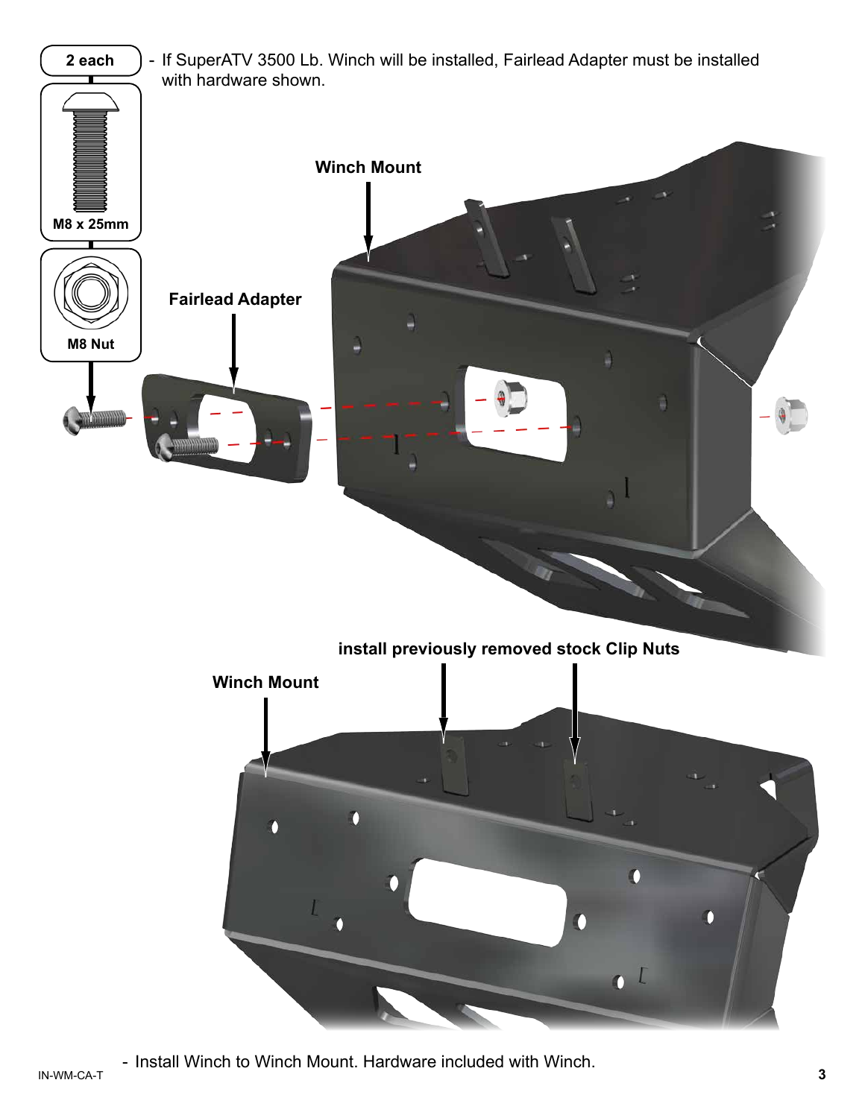

IN-WM-CA-T **3** - Install Winch to Winch Mount. Hardware included with Winch.